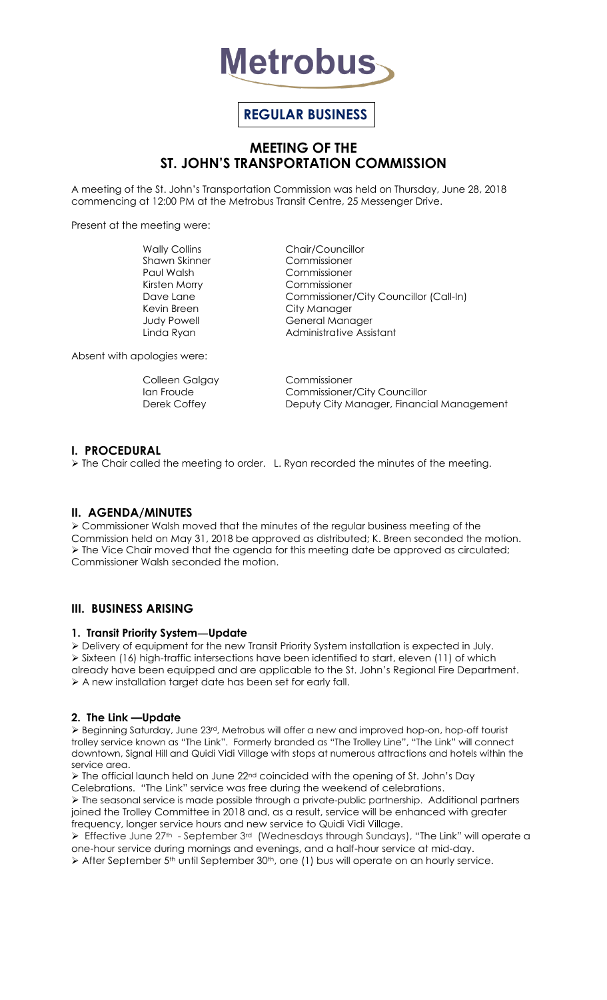

# **REGULAR BUSINESS**

## **MEETING OF THE ST. JOHN'S TRANSPORTATION COMMISSION**

A meeting of the St. John's Transportation Commission was held on Thursday, June 28, 2018 commencing at 12:00 PM at the Metrobus Transit Centre, 25 Messenger Drive.

Present at the meeting were:

Shawn Skinner Commissioner Paul Walsh Commissioner Kirsten Morry Commissioner Kevin Breen City Manager

Wally Collins **Chair/Councillor** Dave Lane Commissioner/City Councillor (Call-In) Judy Powell General Manager Linda Ryan **Administrative Assistant** 

Absent with apologies were:

Colleen Galgay Commissioner

Ian Froude **Commissioner/City Councillor** Derek Coffey **Deputy City Manager, Financial Management** 

### **I. PROCEDURAL**

 $\triangleright$  The Chair called the meeting to order. L. Ryan recorded the minutes of the meeting.

### **II. AGENDA/MINUTES**

 Commissioner Walsh moved that the minutes of the regular business meeting of the Commission held on May 31, 2018 be approved as distributed; K. Breen seconded the motion.  $\triangleright$  The Vice Chair moved that the agenda for this meeting date be approved as circulated; Commissioner Walsh seconded the motion.

#### **III. BUSINESS ARISING**

#### **1. Transit Priority System—Update**

Delivery of equipment for the new Transit Priority System installation is expected in July.

 $\triangleright$  Sixteen (16) high-traffic intersections have been identified to start, eleven (11) of which already have been equipped and are applicable to the St. John's Regional Fire Department. A new installation target date has been set for early fall.

#### **2. The Link —Update**

 Beginning Saturday, June 23rd, Metrobus will offer a new and improved hop-on, hop-off tourist trolley service known as "The Link". Formerly branded as "The Trolley Line", "The Link" will connect downtown, Signal Hill and Quidi Vidi Village with stops at numerous attractions and hotels within the service area.

 $\triangleright$  The official launch held on June 22<sup>nd</sup> coincided with the opening of St. John's Day Celebrations. "The Link" service was free during the weekend of celebrations.

 The seasonal service is made possible through a private-public partnership. Additional partners joined the Trolley Committee in 2018 and, as a result, service will be enhanced with greater frequency, longer service hours and new service to Quidi Vidi Village.

Effective June 27<sup>th</sup> - September 3<sup>rd</sup> (Wednesdays through Sundays), "The Link" will operate a one-hour service during mornings and evenings, and a half-hour service at mid-day.

> After September 5<sup>th</sup> until September 30<sup>th</sup>, one (1) bus will operate on an hourly service.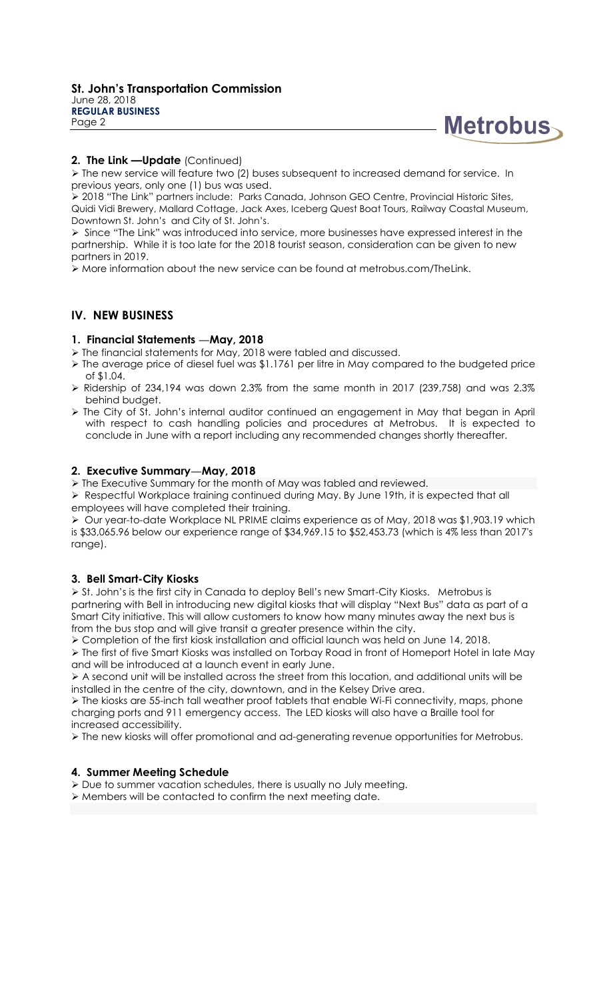



## **2. The Link —Update** (Continued)

 $\triangleright$  The new service will feature two (2) buses subsequent to increased demand for service. In previous years, only one (1) bus was used.

 2018 "The Link" partners include: Parks Canada, Johnson GEO Centre, Provincial Historic Sites, Quidi Vidi Brewery, Mallard Cottage, Jack Axes, Iceberg Quest Boat Tours, Railway Coastal Museum, Downtown St. John's and City of St. John's.

Since "The Link" was introduced into service, more businesses have expressed interest in the partnership. While it is too late for the 2018 tourist season, consideration can be given to new partners in 2019.

More information about the new service can be found at metrobus.com/TheLink.

#### **IV. NEW BUSINESS**

#### **1. Financial Statements —May, 2018**

- The financial statements for May, 2018 were tabled and discussed.
- > The average price of diesel fuel was \$1.1761 per litre in May compared to the budgeted price of \$1.04.
- $\triangleright$  Ridership of 234,194 was down 2.3% from the same month in 2017 (239,758) and was 2.3% behind budget.
- The City of St. John's internal auditor continued an engagement in May that began in April with respect to cash handling policies and procedures at Metrobus. It is expected to conclude in June with a report including any recommended changes shortly thereafter.

#### **2. Executive Summary—May, 2018**

> The Executive Summary for the month of May was tabled and reviewed.

 $\triangleright$  Respectful Workplace training continued during May. By June 19th, it is expected that all employees will have completed their training.

 $\triangleright$  Our year-to-date Workplace NL PRIME claims experience as of May, 2018 was \$1,903.19 which is \$33,065.96 below our experience range of \$34,969.15 to \$52,453.73 (which is 4% less than 2017's range).

#### **3. Bell Smart-City Kiosks**

 St. John's is the first city in Canada to deploy Bell's new Smart-City Kiosks. Metrobus is partnering with Bell in introducing new digital kiosks that will display "Next Bus" data as part of a Smart City initiative. This will allow customers to know how many minutes away the next bus is from the bus stop and will give transit a greater presence within the city.

Completion of the first kiosk installation and official launch was held on June 14, 2018.

 The first of five Smart Kiosks was installed on Torbay Road in front of Homeport Hotel in late May and will be introduced at a launch event in early June.

 $\triangleright$  A second unit will be installed across the street from this location, and additional units will be installed in the centre of the city, downtown, and in the Kelsey Drive area.

 The kiosks are 55-inch tall weather proof tablets that enable Wi-Fi connectivity, maps, phone charging ports and 911 emergency access. The LED kiosks will also have a Braille tool for increased accessibility.

The new kiosks will offer promotional and ad-generating revenue opportunities for Metrobus.

#### **4. Summer Meeting Schedule**

Due to summer vacation schedules, there is usually no July meeting.

Members will be contacted to confirm the next meeting date.